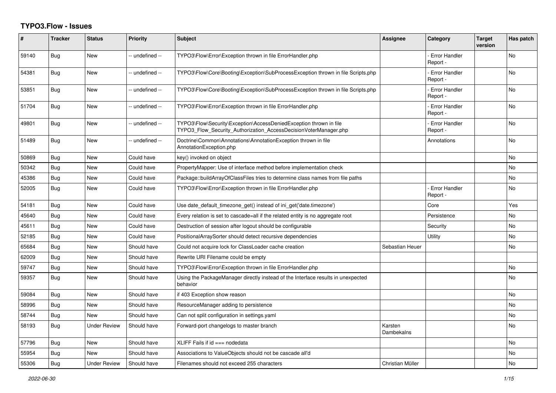## **TYPO3.Flow - Issues**

| #     | <b>Tracker</b> | <b>Status</b>       | <b>Priority</b> | <b>Subject</b>                                                                                                                         | Assignee              | Category                         | <b>Target</b><br>version | Has patch |
|-------|----------------|---------------------|-----------------|----------------------------------------------------------------------------------------------------------------------------------------|-----------------------|----------------------------------|--------------------------|-----------|
| 59140 | Bug            | <b>New</b>          | -- undefined -- | TYPO3\Flow\Error\Exception thrown in file ErrorHandler.php                                                                             |                       | <b>Error Handler</b><br>Report - |                          | <b>No</b> |
| 54381 | <b>Bug</b>     | New                 | -- undefined -- | TYPO3\Flow\Core\Booting\Exception\SubProcessException thrown in file Scripts.php                                                       |                       | <b>Error Handler</b><br>Report - |                          | No        |
| 53851 | <b>Bug</b>     | New                 | -- undefined -- | TYPO3\Flow\Core\Booting\Exception\SubProcessException thrown in file Scripts.php                                                       |                       | - Error Handler<br>Report -      |                          | <b>No</b> |
| 51704 | Bug            | New                 | -- undefined -- | TYPO3\Flow\Error\Exception thrown in file ErrorHandler.php                                                                             |                       | <b>Error Handler</b><br>Report - |                          | No        |
| 49801 | Bug            | <b>New</b>          | -- undefined -- | TYPO3\Flow\Security\Exception\AccessDeniedException thrown in file<br>TYPO3_Flow_Security_Authorization_AccessDecisionVoterManager.php |                       | <b>Error Handler</b><br>Report - |                          | <b>No</b> |
| 51489 | <b>Bug</b>     | <b>New</b>          | -- undefined -- | Doctrine\Common\Annotations\AnnotationException thrown in file<br>AnnotationException.php                                              |                       | Annotations                      |                          | <b>No</b> |
| 50869 | Bug            | <b>New</b>          | Could have      | key() invoked on object                                                                                                                |                       |                                  |                          | <b>No</b> |
| 50342 | Bug            | New                 | Could have      | PropertyMapper: Use of interface method before implementation check                                                                    |                       |                                  |                          | No        |
| 45386 | Bug            | <b>New</b>          | Could have      | Package::buildArrayOfClassFiles tries to determine class names from file paths                                                         |                       |                                  |                          | No.       |
| 52005 | Bug            | <b>New</b>          | Could have      | TYPO3\Flow\Error\Exception thrown in file ErrorHandler.php                                                                             |                       | <b>Error Handler</b><br>Report - |                          | <b>No</b> |
| 54181 | <b>Bug</b>     | New                 | Could have      | Use date_default_timezone_get() instead of ini_get('date.timezone')                                                                    |                       | Core                             |                          | Yes       |
| 45640 | Bug            | <b>New</b>          | Could have      | Every relation is set to cascade=all if the related entity is no aggregate root                                                        |                       | Persistence                      |                          | <b>No</b> |
| 45611 | Bug            | New                 | Could have      | Destruction of session after logout should be configurable                                                                             |                       | Security                         |                          | <b>No</b> |
| 52185 | <b>Bug</b>     | <b>New</b>          | Could have      | PositionalArraySorter should detect recursive dependencies                                                                             |                       | Utility                          |                          | <b>No</b> |
| 65684 | Bug            | New                 | Should have     | Could not acquire lock for ClassLoader cache creation                                                                                  | Sebastian Heuer       |                                  |                          | No        |
| 62009 | Bug            | New                 | Should have     | Rewrite URI Filename could be empty                                                                                                    |                       |                                  |                          |           |
| 59747 | Bug            | New                 | Should have     | TYPO3\Flow\Error\Exception thrown in file ErrorHandler.php                                                                             |                       |                                  |                          | <b>No</b> |
| 59357 | Bug            | New                 | Should have     | Using the PackageManager directly instead of the Interface results in unexpected<br>behavior                                           |                       |                                  |                          | No        |
| 59084 | Bug            | <b>New</b>          | Should have     | if 403 Exception show reason                                                                                                           |                       |                                  |                          | <b>No</b> |
| 58996 | Bug            | <b>New</b>          | Should have     | ResourceManager adding to persistence                                                                                                  |                       |                                  |                          | <b>No</b> |
| 58744 | <b>Bug</b>     | <b>New</b>          | Should have     | Can not split configuration in settings.yaml                                                                                           |                       |                                  |                          | <b>No</b> |
| 58193 | Bug            | <b>Under Review</b> | Should have     | Forward-port changelogs to master branch                                                                                               | Karsten<br>Dambekalns |                                  |                          | No        |
| 57796 | <b>Bug</b>     | <b>New</b>          | Should have     | XLIFF Fails if id === nodedata                                                                                                         |                       |                                  |                          | No        |
| 55954 | Bug            | <b>New</b>          | Should have     | Associations to ValueObjects should not be cascade all'd                                                                               |                       |                                  |                          | No        |
| 55306 | <b>Bug</b>     | <b>Under Review</b> | Should have     | Filenames should not exceed 255 characters                                                                                             | Christian Müller      |                                  |                          | No        |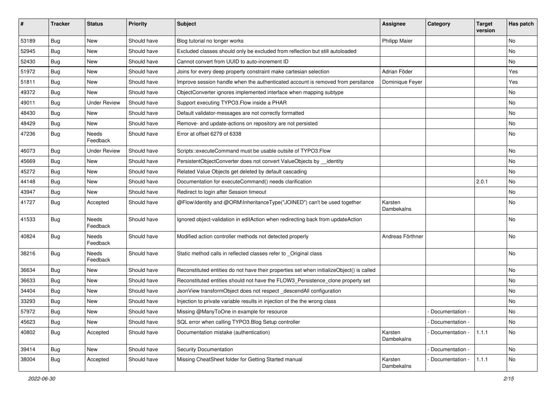| #     | <b>Tracker</b> | <b>Status</b>       | <b>Priority</b> | <b>Subject</b>                                                                            | Assignee              | Category          | <b>Target</b><br>version | Has patch |
|-------|----------------|---------------------|-----------------|-------------------------------------------------------------------------------------------|-----------------------|-------------------|--------------------------|-----------|
| 53189 | <b>Bug</b>     | New                 | Should have     | Blog tutorial no longer works                                                             | <b>Philipp Maier</b>  |                   |                          | No        |
| 52945 | Bug            | New                 | Should have     | Excluded classes should only be excluded from reflection but still autoloaded             |                       |                   |                          | No        |
| 52430 | Bug            | New                 | Should have     | Cannot convert from UUID to auto-increment ID                                             |                       |                   |                          | No        |
| 51972 | Bug            | <b>New</b>          | Should have     | Joins for every deep property constraint make cartesian selection                         | Adrian Föder          |                   |                          | Yes       |
| 51811 | <b>Bug</b>     | New                 | Should have     | Improve session handle when the authenticated account is removed from persitance          | Dominique Feyer       |                   |                          | Yes       |
| 49372 | <b>Bug</b>     | <b>New</b>          | Should have     | ObjectConverter ignores implemented interface when mapping subtype                        |                       |                   |                          | No        |
| 49011 | Bug            | <b>Under Review</b> | Should have     | Support executing TYPO3.Flow inside a PHAR                                                |                       |                   |                          | No        |
| 48430 | Bug            | New                 | Should have     | Default validator-messages are not correctly formatted                                    |                       |                   |                          | No        |
| 48429 | Bug            | New                 | Should have     | Remove- and update-actions on repository are not persisted                                |                       |                   |                          | No        |
| 47236 | Bug            | Needs<br>Feedback   | Should have     | Error at offset 6279 of 6338                                                              |                       |                   |                          | No        |
| 46073 | <b>Bug</b>     | <b>Under Review</b> | Should have     | Scripts::executeCommand must be usable outsite of TYPO3.Flow                              |                       |                   |                          | No        |
| 45669 | Bug            | New                 | Should have     | PersistentObjectConverter does not convert ValueObjects by identity                       |                       |                   |                          | No        |
| 45272 | <b>Bug</b>     | <b>New</b>          | Should have     | Related Value Objects get deleted by default cascading                                    |                       |                   |                          | No        |
| 44148 | Bug            | New                 | Should have     | Documentation for executeCommand() needs clarification                                    |                       |                   | 2.0.1                    | No        |
| 43947 | Bug            | New                 | Should have     | Redirect to login after Session timeout                                                   |                       |                   |                          | No        |
| 41727 | Bug            | Accepted            | Should have     | @Flow\Identity and @ORM\InheritanceType("JOINED") can't be used together                  | Karsten<br>Dambekalns |                   |                          | No        |
| 41533 | <b>Bug</b>     | Needs<br>Feedback   | Should have     | Ignored object-validation in editAction when redirecting back from updateAction           |                       |                   |                          | No        |
| 40824 | Bug            | Needs<br>Feedback   | Should have     | Modified action controller methods not detected properly                                  | Andreas Förthner      |                   |                          | <b>No</b> |
| 38216 | <b>Bug</b>     | Needs<br>Feedback   | Should have     | Static method calls in reflected classes refer to _Original class                         |                       |                   |                          | No        |
| 36634 | Bug            | New                 | Should have     | Reconstituted entities do not have their properties set when initializeObject() is called |                       |                   |                          | No        |
| 36633 | <b>Bug</b>     | New                 | Should have     | Reconstituted entities should not have the FLOW3 Persistence clone property set           |                       |                   |                          | No        |
| 34404 | Bug            | New                 | Should have     | JsonView transformObject does not respect_descendAll configuration                        |                       |                   |                          | No        |
| 33293 | <b>Bug</b>     | New                 | Should have     | Injection to private variable results in injection of the the wrong class                 |                       |                   |                          | No        |
| 57972 | Bug            | New                 | Should have     | Missing @ManyToOne in example for resource                                                |                       | - Documentation - |                          | No        |
| 45623 | Bug            | New                 | Should have     | SQL error when calling TYPO3.Blog Setup controller                                        |                       | Documentation -   |                          | No        |
| 40802 | <b>Bug</b>     | Accepted            | Should have     | Documentation mistake (authentication)                                                    | Karsten<br>Dambekalns | - Documentation - | 1.1.1                    | No        |
| 39414 | Bug            | New                 | Should have     | Security Documentation                                                                    |                       | - Documentation - |                          | No        |
| 38004 | <b>Bug</b>     | Accepted            | Should have     | Missing CheatSheet folder for Getting Started manual                                      | Karsten<br>Dambekalns | Documentation -   | 1.1.1                    | No        |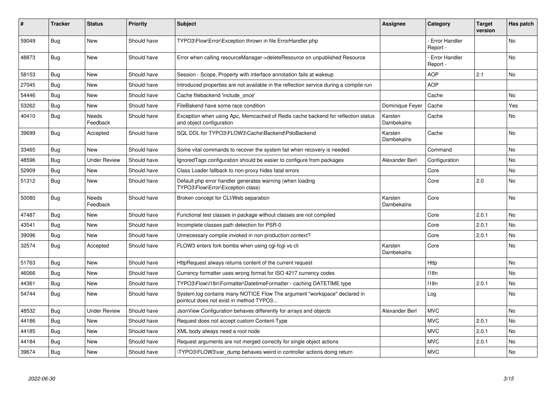| #     | <b>Tracker</b> | <b>Status</b>       | <b>Priority</b> | <b>Subject</b>                                                                                                       | <b>Assignee</b>       | Category                         | <b>Target</b><br>version | Has patch |
|-------|----------------|---------------------|-----------------|----------------------------------------------------------------------------------------------------------------------|-----------------------|----------------------------------|--------------------------|-----------|
| 59049 | Bug            | <b>New</b>          | Should have     | TYPO3\Flow\Error\Exception thrown in file ErrorHandler.php                                                           |                       | Error Handler<br>Report -        |                          | No        |
| 48873 | <b>Bug</b>     | <b>New</b>          | Should have     | Error when calling resourceManager->deleteResource on unpublished Resource                                           |                       | <b>Error Handler</b><br>Report - |                          | <b>No</b> |
| 58153 | <b>Bug</b>     | <b>New</b>          | Should have     | Session - Scope, Property with interface annotation fails at wakeup                                                  |                       | <b>AOP</b>                       | 2.1                      | <b>No</b> |
| 27045 | Bug            | <b>New</b>          | Should have     | Introduced properties are not available in the reflection service during a compile run                               |                       | <b>AOP</b>                       |                          |           |
| 54446 | Bug            | <b>New</b>          | Should have     | Cache filebackend 'include once'                                                                                     |                       | Cache                            |                          | No.       |
| 53262 | Bug            | New                 | Should have     | FileBakend have some race condition                                                                                  | Dominique Feyer       | Cache                            |                          | Yes       |
| 40410 | Bug            | Needs<br>Feedback   | Should have     | Exception when using Apc, Memcached of Redis cache backend for reflection status<br>and object configuration         | Karsten<br>Dambekalns | Cache                            |                          | No        |
| 39699 | <b>Bug</b>     | Accepted            | Should have     | SQL DDL for TYPO3\FLOW3\Cache\Backend\PdoBackend                                                                     | Karsten<br>Dambekalns | Cache                            |                          | No        |
| 33465 | Bug            | New                 | Should have     | Some vital commands to recover the system fail when recovery is needed                                               |                       | Command                          |                          | No        |
| 48596 | Bug            | <b>Under Review</b> | Should have     | Ignored Tags configuration should be easier to configure from packages                                               | Alexander Berl        | Configuration                    |                          | No        |
| 52909 | <b>Bug</b>     | <b>New</b>          | Should have     | Class Loader fallback to non-proxy hides fatal errors                                                                |                       | Core                             |                          | No.       |
| 51312 | Bug            | New                 | Should have     | Default php error handler generates warning (when loading<br>TYPO3\Flow\Error\Exception class)                       |                       | Core                             | 2.0                      | No        |
| 50080 | Bug            | Needs<br>Feedback   | Should have     | Broken concept for CLI/Web separation                                                                                | Karsten<br>Dambekalns | Core                             |                          | No        |
| 47487 | Bug            | <b>New</b>          | Should have     | Functional test classes in package without classes are not compiled                                                  |                       | Core                             | 2.0.1                    | No.       |
| 43541 | Bug            | New                 | Should have     | Incomplete classes path detection for PSR-0                                                                          |                       | Core                             | 2.0.1                    | No        |
| 39096 | Bug            | <b>New</b>          | Should have     | Unnecessary compile invoked in non production context?                                                               |                       | Core                             | 2.0.1                    | <b>No</b> |
| 32574 | <b>Bug</b>     | Accepted            | Should have     | FLOW3 enters fork bombs when using cgi-fcgi vs cli                                                                   | Karsten<br>Dambekalns | Core                             |                          | No        |
| 51763 | <b>Bug</b>     | <b>New</b>          | Should have     | HttpRequest always returns content of the current request                                                            |                       | Http                             |                          | No        |
| 46066 | Bug            | <b>New</b>          | Should have     | Currency formatter uses wrong format for ISO 4217 currency codes                                                     |                       | 118n                             |                          | No.       |
| 44361 | Bug            | <b>New</b>          | Should have     | TYPO3\Flow\I18n\Formatter\DatetimeFormatter - caching DATETIME type                                                  |                       | 118n                             | 2.0.1                    | No.       |
| 54744 | Bug            | <b>New</b>          | Should have     | System.log contains many NOTICE Flow The argument "workspace" declared in<br>pointcut does not exist in method TYPO3 |                       | Log                              |                          | <b>No</b> |
| 48532 | Bug            | <b>Under Review</b> | Should have     | JsonView Configuration behaves differently for arrays and objects                                                    | Alexander Berl        | <b>MVC</b>                       |                          | <b>No</b> |
| 44186 | Bug            | <b>New</b>          | Should have     | Request does not accept custom Content-Type                                                                          |                       | <b>MVC</b>                       | 2.0.1                    | No        |
| 44185 | Bug            | <b>New</b>          | Should have     | XML body always need a root node                                                                                     |                       | <b>MVC</b>                       | 2.0.1                    | <b>No</b> |
| 44184 | Bug            | New                 | Should have     | Request arguments are not merged correctly for single object actions                                                 |                       | <b>MVC</b>                       | 2.0.1                    | No        |
| 39674 | Bug            | <b>New</b>          | Should have     | TYPO3\FLOW3\var dump behaves weird in controller actions doing return                                                |                       | <b>MVC</b>                       |                          | <b>No</b> |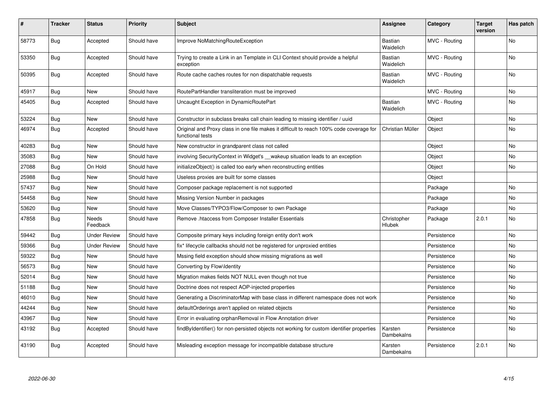| $\vert$ # | <b>Tracker</b> | <b>Status</b>       | <b>Priority</b> | <b>Subject</b>                                                                                              | <b>Assignee</b>       | Category      | <b>Target</b><br>version | Has patch      |
|-----------|----------------|---------------------|-----------------|-------------------------------------------------------------------------------------------------------------|-----------------------|---------------|--------------------------|----------------|
| 58773     | Bug            | Accepted            | Should have     | Improve NoMatchingRouteException                                                                            | Bastian<br>Waidelich  | MVC - Routing |                          | N <sub>o</sub> |
| 53350     | Bug            | Accepted            | Should have     | Trying to create a Link in an Template in CLI Context should provide a helpful<br>exception                 | Bastian<br>Waidelich  | MVC - Routing |                          | No             |
| 50395     | Bug            | Accepted            | Should have     | Route cache caches routes for non dispatchable requests                                                     | Bastian<br>Waidelich  | MVC - Routing |                          | No             |
| 45917     | Bug            | New                 | Should have     | RoutePartHandler transliteration must be improved                                                           |                       | MVC - Routing |                          | No             |
| 45405     | Bug            | Accepted            | Should have     | Uncaught Exception in DynamicRoutePart                                                                      | Bastian<br>Waidelich  | MVC - Routing |                          | No             |
| 53224     | Bug            | New                 | Should have     | Constructor in subclass breaks call chain leading to missing identifier / uuid                              |                       | Object        |                          | No             |
| 46974     | Bug            | Accepted            | Should have     | Original and Proxy class in one file makes it difficult to reach 100% code coverage for<br>functional tests | Christian Müller      | Object        |                          | No             |
| 40283     | Bug            | New                 | Should have     | New constructor in grandparent class not called                                                             |                       | Object        |                          | No             |
| 35083     | Bug            | <b>New</b>          | Should have     | involving SecurityContext in Widget's __wakeup situation leads to an exception                              |                       | Object        |                          | No             |
| 27088     | <b>Bug</b>     | On Hold             | Should have     | initializeObject() is called too early when reconstructing entities                                         |                       | Object        |                          | <b>No</b>      |
| 25988     | <b>Bug</b>     | <b>New</b>          | Should have     | Useless proxies are built for some classes                                                                  |                       | Object        |                          |                |
| 57437     | <b>Bug</b>     | <b>New</b>          | Should have     | Composer package replacement is not supported                                                               |                       | Package       |                          | <b>No</b>      |
| 54458     | Bug            | New                 | Should have     | Missing Version Number in packages                                                                          |                       | Package       |                          | No             |
| 53620     | Bug            | <b>New</b>          | Should have     | Move Classes/TYPO3/Flow/Composer to own Package                                                             |                       | Package       |                          | No             |
| 47858     | <b>Bug</b>     | Needs<br>Feedback   | Should have     | Remove .htaccess from Composer Installer Essentials                                                         | Christopher<br>Hlubek | Package       | 2.0.1                    | No             |
| 59442     | <b>Bug</b>     | <b>Under Review</b> | Should have     | Composite primary keys including foreign entity don't work                                                  |                       | Persistence   |                          | No             |
| 59366     | Bug            | <b>Under Review</b> | Should have     | fix* lifecycle callbacks should not be registered for unproxied entities                                    |                       | Persistence   |                          | No             |
| 59322     | Bug            | New                 | Should have     | Mssing field exception should show missing migrations as well                                               |                       | Persistence   |                          | No             |
| 56573     | Bug            | <b>New</b>          | Should have     | Converting by Flow\Identity                                                                                 |                       | Persistence   |                          | <b>No</b>      |
| 52014     | <b>Bug</b>     | <b>New</b>          | Should have     | Migration makes fields NOT NULL even though not true                                                        |                       | Persistence   |                          | No             |
| 51188     | Bug            | <b>New</b>          | Should have     | Doctrine does not respect AOP-injected properties                                                           |                       | Persistence   |                          | No             |
| 46010     | Bug            | <b>New</b>          | Should have     | Generating a DiscriminatorMap with base class in different namespace does not work                          |                       | Persistence   |                          | No             |
| 44244     | Bug            | <b>New</b>          | Should have     | defaultOrderings aren't applied on related objects                                                          |                       | Persistence   |                          | No.            |
| 43967     | Bug            | New                 | Should have     | Error in evaluating orphanRemoval in Flow Annotation driver                                                 |                       | Persistence   |                          | No             |
| 43192     | Bug            | Accepted            | Should have     | findByIdentifier() for non-persisted objects not working for custom identifier properties                   | Karsten<br>Dambekalns | Persistence   |                          | No             |
| 43190     | Bug            | Accepted            | Should have     | Misleading exception message for incompatible database structure                                            | Karsten<br>Dambekalns | Persistence   | 2.0.1                    | No.            |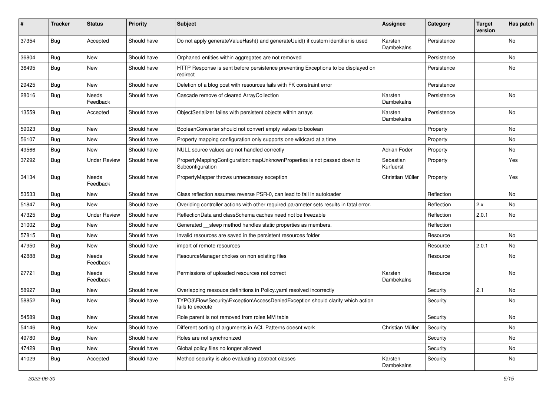| #     | <b>Tracker</b> | <b>Status</b>       | <b>Priority</b> | Subject                                                                                             | <b>Assignee</b>        | Category    | <b>Target</b><br>version | Has patch |
|-------|----------------|---------------------|-----------------|-----------------------------------------------------------------------------------------------------|------------------------|-------------|--------------------------|-----------|
| 37354 | <b>Bug</b>     | Accepted            | Should have     | Do not apply generateValueHash() and generateUuid() if custom identifier is used                    | Karsten<br>Dambekalns  | Persistence |                          | <b>No</b> |
| 36804 | <b>Bug</b>     | New                 | Should have     | Orphaned entities within aggregates are not removed                                                 |                        | Persistence |                          | No        |
| 36495 | <b>Bug</b>     | New                 | Should have     | HTTP Response is sent before persistence preventing Exceptions to be displayed on<br>redirect       |                        | Persistence |                          | <b>No</b> |
| 29425 | <b>Bug</b>     | <b>New</b>          | Should have     | Deletion of a blog post with resources fails with FK constraint error                               |                        | Persistence |                          |           |
| 28016 | <b>Bug</b>     | Needs<br>Feedback   | Should have     | Cascade remove of cleared ArrayCollection                                                           | Karsten<br>Dambekalns  | Persistence |                          | No        |
| 13559 | Bug            | Accepted            | Should have     | ObjectSerializer failes with persistent objects within arrays                                       | Karsten<br>Dambekalns  | Persistence |                          | <b>No</b> |
| 59023 | <b>Bug</b>     | New                 | Should have     | BooleanConverter should not convert empty values to boolean                                         |                        | Property    |                          | <b>No</b> |
| 56107 | <b>Bug</b>     | <b>New</b>          | Should have     | Property mapping configuration only supports one wildcard at a time                                 |                        | Property    |                          | No        |
| 49566 | <b>Bug</b>     | New                 | Should have     | NULL source values are not handled correctly                                                        | Adrian Föder           | Property    |                          | No.       |
| 37292 | Bug            | <b>Under Review</b> | Should have     | PropertyMappingConfiguration::mapUnknownProperties is not passed down to<br>Subconfiguration        | Sebastian<br>Kurfuerst | Property    |                          | Yes       |
| 34134 | Bug            | Needs<br>Feedback   | Should have     | PropertyMapper throws unnecessary exception                                                         | Christian Müller       | Property    |                          | Yes       |
| 53533 | <b>Bug</b>     | New                 | Should have     | Class reflection assumes reverse PSR-0, can lead to fail in autoloader                              |                        | Reflection  |                          | No        |
| 51847 | <b>Bug</b>     | New                 | Should have     | Overiding controller actions with other required parameter sets results in fatal error.             |                        | Reflection  | 2.x                      | <b>No</b> |
| 47325 | Bug            | <b>Under Review</b> | Should have     | ReflectionData and classSchema caches need not be freezable                                         |                        | Reflection  | 2.0.1                    | No        |
| 31002 | <b>Bug</b>     | New                 | Should have     | Generated sleep method handles static properties as members.                                        |                        | Reflection  |                          |           |
| 57815 | <b>Bug</b>     | New                 | Should have     | Invalid resources are saved in the persistent resources folder                                      |                        | Resource    |                          | No        |
| 47950 | <b>Bug</b>     | New                 | Should have     | import of remote resources                                                                          |                        | Resource    | 2.0.1                    | No        |
| 42888 | <b>Bug</b>     | Needs<br>Feedback   | Should have     | ResourceManager chokes on non existing files                                                        |                        | Resource    |                          | No        |
| 27721 | <b>Bug</b>     | Needs<br>Feedback   | Should have     | Permissions of uploaded resources not correct                                                       | Karsten<br>Dambekalns  | Resource    |                          | No        |
| 58927 | <b>Bug</b>     | New                 | Should have     | Overlapping ressouce definitions in Policy.yaml resolved incorrectly                                |                        | Security    | 2.1                      | No        |
| 58852 | <b>Bug</b>     | New                 | Should have     | TYPO3\Flow\Security\Exception\AccessDeniedException should clarify which action<br>fails to execute |                        | Security    |                          | No        |
| 54589 | <b>Bug</b>     | New                 | Should have     | Role parent is not removed from roles MM table                                                      |                        | Security    |                          | No        |
| 54146 | Bug            | New                 | Should have     | Different sorting of arguments in ACL Patterns doesnt work                                          | Christian Müller       | Security    |                          | No        |
| 49780 | Bug            | New                 | Should have     | Roles are not synchronized                                                                          |                        | Security    |                          | No        |
| 47429 | <b>Bug</b>     | New                 | Should have     | Global policy files no longer allowed                                                               |                        | Security    |                          | No        |
| 41029 | <b>Bug</b>     | Accepted            | Should have     | Method security is also evaluating abstract classes                                                 | Karsten<br>Dambekalns  | Security    |                          | No        |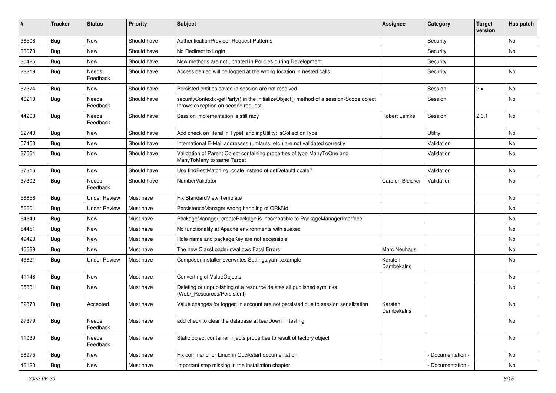| ∦     | <b>Tracker</b> | <b>Status</b>            | <b>Priority</b> | <b>Subject</b>                                                                                                               | <b>Assignee</b>       | Category        | <b>Target</b><br>version | Has patch |
|-------|----------------|--------------------------|-----------------|------------------------------------------------------------------------------------------------------------------------------|-----------------------|-----------------|--------------------------|-----------|
| 36508 | Bug            | New                      | Should have     | AuthenticationProvider Request Patterns                                                                                      |                       | Security        |                          | No        |
| 33078 | Bug            | New                      | Should have     | No Redirect to Login                                                                                                         |                       | Security        |                          | No        |
| 30425 | <b>Bug</b>     | New                      | Should have     | New methods are not updated in Policies during Development                                                                   |                       | Security        |                          |           |
| 28319 | Bug            | <b>Needs</b><br>Feedback | Should have     | Access denied will be logged at the wrong location in nested calls                                                           |                       | Security        |                          | No        |
| 57374 | <b>Bug</b>     | <b>New</b>               | Should have     | Persisted entities saved in session are not resolved                                                                         |                       | Session         | 2.x                      | <b>No</b> |
| 46210 | <b>Bug</b>     | Needs<br>Feedback        | Should have     | securityContext->getParty() in the initializeObject() method of a session-Scope object<br>throws exception on second request |                       | Session         |                          | No        |
| 44203 | Bug            | Needs<br>Feedback        | Should have     | Session implementation is still racy                                                                                         | Robert Lemke          | Session         | 2.0.1                    | No        |
| 62740 | Bug            | New                      | Should have     | Add check on literal in TypeHandlingUtility::isCollectionType                                                                |                       | Utility         |                          | No        |
| 57450 | Bug            | New                      | Should have     | International E-Mail addresses (umlauts, etc.) are not validated correctly                                                   |                       | Validation      |                          | No        |
| 37564 | <b>Bug</b>     | New                      | Should have     | Validation of Parent Object containing properties of type ManyToOne and<br>ManyToMany to same Target                         |                       | Validation      |                          | No        |
| 37316 | Bug            | New                      | Should have     | Use findBestMatchingLocale instead of getDefaultLocale?                                                                      |                       | Validation      |                          | No        |
| 37302 | <b>Bug</b>     | Needs<br>Feedback        | Should have     | NumberValidator                                                                                                              | Carsten Bleicker      | Validation      |                          | No        |
| 56856 | Bug            | <b>Under Review</b>      | Must have       | Fix StandardView Template                                                                                                    |                       |                 |                          | <b>No</b> |
| 56601 | Bug            | <b>Under Review</b>      | Must have       | PersistenceManager wrong handling of ORM\ld                                                                                  |                       |                 |                          | No        |
| 54549 | Bug            | <b>New</b>               | Must have       | PackageManager::createPackage is incompatible to PackageManagerInterface                                                     |                       |                 |                          | No        |
| 54451 | Bug            | New                      | Must have       | No functionality at Apache environments with suexec                                                                          |                       |                 |                          | No        |
| 49423 | Bug            | New                      | Must have       | Role name and packageKey are not accessible                                                                                  |                       |                 |                          | <b>No</b> |
| 46689 | <b>Bug</b>     | New                      | Must have       | The new ClassLoader swallows Fatal Errors                                                                                    | Marc Neuhaus          |                 |                          | No        |
| 43621 | <b>Bug</b>     | <b>Under Review</b>      | Must have       | Composer installer overwrites Settings.yaml.example                                                                          | Karsten<br>Dambekalns |                 |                          | <b>No</b> |
| 41148 | Bug            | New                      | Must have       | Converting of ValueObjects                                                                                                   |                       |                 |                          | <b>No</b> |
| 35831 | <b>Bug</b>     | New                      | Must have       | Deleting or unpublishing of a resource deletes all published symlinks<br>(Web/ Resources/Persistent)                         |                       |                 |                          | No        |
| 32873 | Bug            | Accepted                 | Must have       | Value changes for logged in account are not persisted due to session serialization                                           | Karsten<br>Dambekalns |                 |                          | No        |
| 27379 | <b>Bug</b>     | Needs<br>Feedback        | Must have       | add check to clear the database at tearDown in testing                                                                       |                       |                 |                          | No        |
| 11039 | <b>Bug</b>     | Needs<br>Feedback        | Must have       | Static object container injects properties to result of factory object                                                       |                       |                 |                          | No        |
| 58975 | <b>Bug</b>     | New                      | Must have       | Fix command for Linux in Qucikstart documentation                                                                            |                       | Documentation - |                          | No        |
| 46120 | <b>Bug</b>     | New                      | Must have       | Important step missing in the installation chapter                                                                           |                       | Documentation - |                          | No        |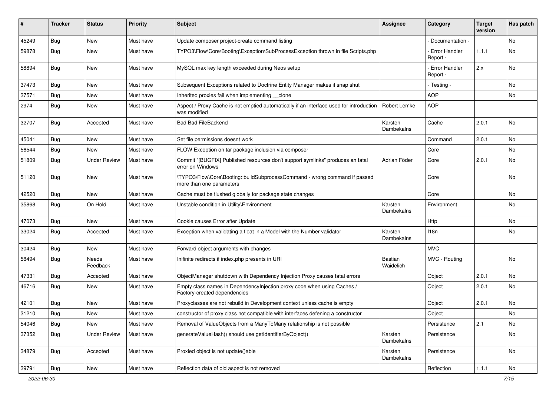| ∦     | <b>Tracker</b> | <b>Status</b>       | <b>Priority</b> | <b>Subject</b>                                                                                          | <b>Assignee</b>       | Category                         | <b>Target</b><br>version | Has patch |
|-------|----------------|---------------------|-----------------|---------------------------------------------------------------------------------------------------------|-----------------------|----------------------------------|--------------------------|-----------|
| 45249 | Bug            | New                 | Must have       | Update composer project-create command listing                                                          |                       | Documentation -                  |                          | No        |
| 59878 | <b>Bug</b>     | New                 | Must have       | TYPO3\Flow\Core\Booting\Exception\SubProcessException thrown in file Scripts.php                        |                       | <b>Error Handler</b><br>Report - | 1.1.1                    | No        |
| 58894 | Bug            | New                 | Must have       | MySQL max key length exceeded during Neos setup                                                         |                       | <b>Error Handler</b><br>Report - | 2.x                      | No        |
| 37473 | <b>Bug</b>     | New                 | Must have       | Subsequent Exceptions related to Doctrine Entity Manager makes it snap shut                             |                       | - Testing -                      |                          | No        |
| 37571 | <b>Bug</b>     | New                 | Must have       | Inherited proxies fail when implementing __clone                                                        |                       | <b>AOP</b>                       |                          | No        |
| 2974  | <b>Bug</b>     | New                 | Must have       | Aspect / Proxy Cache is not emptied automatically if an interface used for introduction<br>was modified | Robert Lemke          | <b>AOP</b>                       |                          |           |
| 32707 | <b>Bug</b>     | Accepted            | Must have       | <b>Bad Bad FileBackend</b>                                                                              | Karsten<br>Dambekalns | Cache                            | 2.0.1                    | No        |
| 45041 | Bug            | New                 | Must have       | Set file permissions doesnt work                                                                        |                       | Command                          | 2.0.1                    | No        |
| 56544 | Bug            | <b>New</b>          | Must have       | FLOW Exception on tar package inclusion via composer                                                    |                       | Core                             |                          | No.       |
| 51809 | <b>Bug</b>     | <b>Under Review</b> | Must have       | Commit "[BUGFIX] Published resources don't support symlinks" produces an fatal<br>error on Windows      | Adrian Föder          | Core                             | 2.0.1                    | No        |
| 51120 | Bug            | New                 | Must have       | \TYPO3\Flow\Core\Booting::buildSubprocessCommand - wrong command if passed<br>more than one parameters  |                       | Core                             |                          | No        |
| 42520 | Bug            | New                 | Must have       | Cache must be flushed globally for package state changes                                                |                       | Core                             |                          | No        |
| 35868 | <b>Bug</b>     | On Hold             | Must have       | Unstable condition in Utility\Environment                                                               | Karsten<br>Dambekalns | Environment                      |                          | <b>No</b> |
| 47073 | <b>Bug</b>     | New                 | Must have       | Cookie causes Error after Update                                                                        |                       | Http                             |                          | No        |
| 33024 | <b>Bug</b>     | Accepted            | Must have       | Exception when validating a float in a Model with the Number validator                                  | Karsten<br>Dambekalns | 118n                             |                          | No        |
| 30424 | Bug            | New                 | Must have       | Forward object arguments with changes                                                                   |                       | <b>MVC</b>                       |                          |           |
| 58494 | <b>Bug</b>     | Needs<br>Feedback   | Must have       | Inifinite redirects if index.php presents in URI                                                        | Bastian<br>Waidelich  | MVC - Routing                    |                          | No        |
| 47331 | <b>Bug</b>     | Accepted            | Must have       | ObjectManager shutdown with Dependency Injection Proxy causes fatal errors                              |                       | Object                           | 2.0.1                    | No        |
| 46716 | <b>Bug</b>     | New                 | Must have       | Empty class names in DependencyInjection proxy code when using Caches /<br>Factory-created dependencies |                       | Object                           | 2.0.1                    | No        |
| 42101 | <b>Bug</b>     | New                 | Must have       | Proxyclasses are not rebuild in Development context unless cache is empty                               |                       | Object                           | 2.0.1                    | No        |
| 31210 | <b>Bug</b>     | New                 | Must have       | constructor of proxy class not compatible with interfaces defening a constructor                        |                       | Object                           |                          | No        |
| 54046 | <b>Bug</b>     | New                 | Must have       | Removal of ValueObjects from a ManyToMany relationship is not possible                                  |                       | Persistence                      | 2.1                      | No        |
| 37352 | <b>Bug</b>     | <b>Under Review</b> | Must have       | generateValueHash() should use getIdentifierByObject()                                                  | Karsten<br>Dambekalns | Persistence                      |                          | No        |
| 34879 | <b>Bug</b>     | Accepted            | Must have       | Proxied object is not update()able                                                                      | Karsten<br>Dambekalns | Persistence                      |                          | No        |
| 39791 | <b>Bug</b>     | New                 | Must have       | Reflection data of old aspect is not removed                                                            |                       | Reflection                       | 1.1.1                    | No        |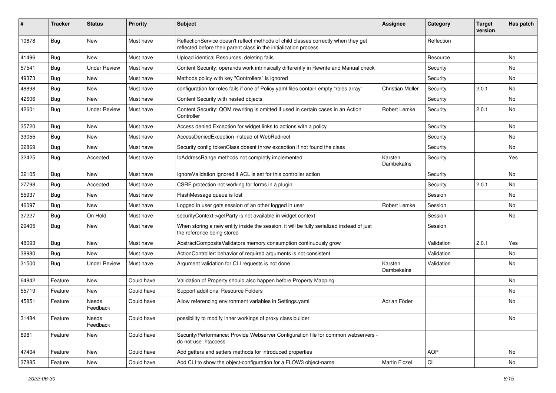| #     | <b>Tracker</b> | <b>Status</b>       | <b>Priority</b> | <b>Subject</b>                                                                                                                                          | <b>Assignee</b>       | Category   | <b>Target</b><br>version | Has patch |
|-------|----------------|---------------------|-----------------|---------------------------------------------------------------------------------------------------------------------------------------------------------|-----------------------|------------|--------------------------|-----------|
| 10678 | Bug            | New                 | Must have       | ReflectionService doesn't reflect methods of child classes correctly when they get<br>reflected before their parent class in the initialization process |                       | Reflection |                          |           |
| 41496 | Bug            | New                 | Must have       | Upload identical Resources, deleting fails                                                                                                              |                       | Resource   |                          | <b>No</b> |
| 57541 | <b>Bug</b>     | <b>Under Review</b> | Must have       | Content Security: operands work intrinsically differently in Rewrite and Manual check                                                                   |                       | Security   |                          | <b>No</b> |
| 49373 | <b>Bug</b>     | New                 | Must have       | Methods policy with key "Controllers" is ignored                                                                                                        |                       | Security   |                          | No        |
| 48898 | Bug            | New                 | Must have       | configuration for roles fails if one of Policy.yaml files contain empty "roles array"                                                                   | Christian Müller      | Security   | 2.0.1                    | <b>No</b> |
| 42606 | <b>Bug</b>     | New                 | Must have       | Content Security with nested objects                                                                                                                    |                       | Security   |                          | No        |
| 42601 | Bug            | <b>Under Review</b> | Must have       | Content Security: QOM rewriting is omitted if used in certain cases in an Action<br>Controller                                                          | Robert Lemke          | Security   | 2.0.1                    | <b>No</b> |
| 35720 | Bug            | <b>New</b>          | Must have       | Access denied Exception for widget links to actions with a policy                                                                                       |                       | Security   |                          | <b>No</b> |
| 33055 | Bug            | New                 | Must have       | AccessDeniedException instead of WebRedirect                                                                                                            |                       | Security   |                          | No        |
| 32869 | <b>Bug</b>     | New                 | Must have       | Security config tokenClass doesnt throw exception if not found the class                                                                                |                       | Security   |                          | No        |
| 32425 | <b>Bug</b>     | Accepted            | Must have       | IpAddressRange methods not completly implemented                                                                                                        | Karsten<br>Dambekalns | Security   |                          | Yes       |
| 32105 | Bug            | <b>New</b>          | Must have       | IgnoreValidation ignored if ACL is set for this controller action                                                                                       |                       | Security   |                          | No        |
| 27798 | Bug            | Accepted            | Must have       | CSRF protection not working for forms in a plugin                                                                                                       |                       | Security   | 2.0.1                    | No        |
| 55937 | Bug            | <b>New</b>          | Must have       | FlashMessage queue is lost                                                                                                                              |                       | Session    |                          | No        |
| 46097 | Bug            | New                 | Must have       | Logged in user gets session of an other logged in user                                                                                                  | Robert Lemke          | Session    |                          | No.       |
| 37227 | Bug            | On Hold             | Must have       | securityContext->getParty is not available in widget context                                                                                            |                       | Session    |                          | No        |
| 29405 | <b>Bug</b>     | New                 | Must have       | When storing a new entity inside the session, it will be fully serialized instead of just<br>the reference being stored                                 |                       | Session    |                          |           |
| 48093 | Bug            | <b>New</b>          | Must have       | AbstractCompositeValidators memory consumption continuously grow                                                                                        |                       | Validation | 2.0.1                    | Yes       |
| 38980 | <b>Bug</b>     | New                 | Must have       | ActionController: behavior of required arguments is not consistent                                                                                      |                       | Validation |                          | No        |
| 31500 | <b>Bug</b>     | <b>Under Review</b> | Must have       | Argument validation for CLI requests is not done                                                                                                        | Karsten<br>Dambekalns | Validation |                          | No        |
| 64842 | Feature        | <b>New</b>          | Could have      | Validation of Property should also happen before Property Mapping.                                                                                      |                       |            |                          | <b>No</b> |
| 55719 | Feature        | New                 | Could have      | Support additional Resource Folders                                                                                                                     |                       |            |                          | No        |
| 45851 | Feature        | Needs<br>Feedback   | Could have      | Allow referencing environment variables in Settings.yaml                                                                                                | Adrian Föder          |            |                          | No        |
| 31484 | Feature        | Needs<br>Feedback   | Could have      | possibility to modify inner workings of proxy class builder                                                                                             |                       |            |                          | No        |
| 8981  | Feature        | New                 | Could have      | Security/Performance: Provide Webserver Configuration file for common webservers -<br>do not use .htaccess                                              |                       |            |                          |           |
| 47404 | Feature        | New                 | Could have      | Add getters and setters methods for introduced properties                                                                                               |                       | AOP        |                          | No        |
| 37885 | Feature        | New                 | Could have      | Add CLI to show the object-configuration for a FLOW3 object-name                                                                                        | Martin Ficzel         | Cli        |                          | No        |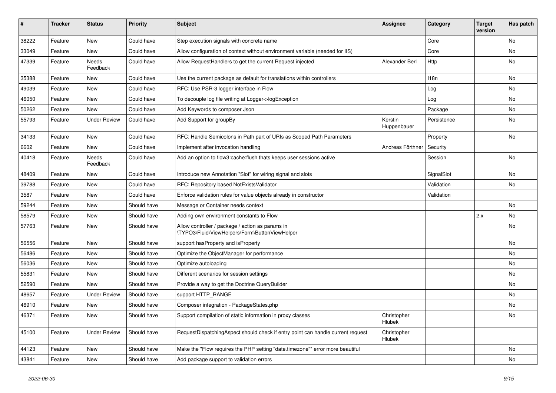| #     | <b>Tracker</b> | <b>Status</b>       | <b>Priority</b> | <b>Subject</b>                                                                                     | <b>Assignee</b>        | Category    | <b>Target</b><br>version | Has patch |
|-------|----------------|---------------------|-----------------|----------------------------------------------------------------------------------------------------|------------------------|-------------|--------------------------|-----------|
| 38222 | Feature        | New                 | Could have      | Step execution signals with concrete name                                                          |                        | Core        |                          | No        |
| 33049 | Feature        | New                 | Could have      | Allow configuration of context without environment variable (needed for IIS)                       |                        | Core        |                          | No        |
| 47339 | Feature        | Needs<br>Feedback   | Could have      | Allow RequestHandlers to get the current Request injected                                          | Alexander Berl         | Http        |                          | No        |
| 35388 | Feature        | New                 | Could have      | Use the current package as default for translations within controllers                             |                        | 118n        |                          | No        |
| 49039 | Feature        | New                 | Could have      | RFC: Use PSR-3 logger interface in Flow                                                            |                        | Log         |                          | <b>No</b> |
| 46050 | Feature        | New                 | Could have      | To decouple log file writing at Logger->logException                                               |                        | Log         |                          | No        |
| 50262 | Feature        | New                 | Could have      | Add Keywords to composer Json                                                                      |                        | Package     |                          | No        |
| 55793 | Feature        | <b>Under Review</b> | Could have      | Add Support for groupBy                                                                            | Kerstin<br>Huppenbauer | Persistence |                          | No        |
| 34133 | Feature        | New                 | Could have      | RFC: Handle Semicolons in Path part of URIs as Scoped Path Parameters                              |                        | Property    |                          | No        |
| 6602  | Feature        | <b>New</b>          | Could have      | Implement after invocation handling                                                                | Andreas Förthner       | Security    |                          |           |
| 40418 | Feature        | Needs<br>Feedback   | Could have      | Add an option to flow3:cache:flush thats keeps user sessions active                                |                        | Session     |                          | No        |
| 48409 | Feature        | New                 | Could have      | Introduce new Annotation "Slot" for wiring signal and slots                                        |                        | SignalSlot  |                          | No        |
| 39788 | Feature        | New                 | Could have      | RFC: Repository based NotExistsValidator                                                           |                        | Validation  |                          | No        |
| 3587  | Feature        | New                 | Could have      | Enforce validation rules for value objects already in constructor                                  |                        | Validation  |                          |           |
| 59244 | Feature        | New                 | Should have     | Message or Container needs context                                                                 |                        |             |                          | <b>No</b> |
| 58579 | Feature        | New                 | Should have     | Adding own environment constants to Flow                                                           |                        |             | 2.x                      | No        |
| 57763 | Feature        | New                 | Should have     | Allow controller / package / action as params in<br>\TYPO3\Fluid\ViewHelpers\Form\ButtonViewHelper |                        |             |                          | No        |
| 56556 | Feature        | <b>New</b>          | Should have     | support has Property and is Property                                                               |                        |             |                          | <b>No</b> |
| 56486 | Feature        | New                 | Should have     | Optimize the ObjectManager for performance                                                         |                        |             |                          | No        |
| 56036 | Feature        | New                 | Should have     | Optimize autoloading                                                                               |                        |             |                          | No        |
| 55831 | Feature        | New                 | Should have     | Different scenarios for session settings                                                           |                        |             |                          | No        |
| 52590 | Feature        | New                 | Should have     | Provide a way to get the Doctrine QueryBuilder                                                     |                        |             |                          | No        |
| 48657 | Feature        | <b>Under Review</b> | Should have     | support HTTP_RANGE                                                                                 |                        |             |                          | No        |
| 46910 | Feature        | New                 | Should have     | Composer integration - PackageStates.php                                                           |                        |             |                          | No        |
| 46371 | Feature        | New                 | Should have     | Support compilation of static information in proxy classes                                         | Christopher<br>Hlubek  |             |                          | No.       |
| 45100 | Feature        | <b>Under Review</b> | Should have     | RequestDispatchingAspect should check if entry point can handle current request                    | Christopher<br>Hlubek  |             |                          |           |
| 44123 | Feature        | New                 | Should have     | Make the "Flow requires the PHP setting "date.timezone"" error more beautiful                      |                        |             |                          | No        |
| 43841 | Feature        | New                 | Should have     | Add package support to validation errors                                                           |                        |             |                          | No        |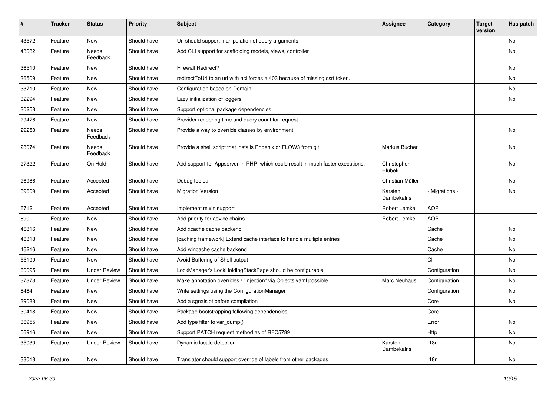| #     | <b>Tracker</b> | <b>Status</b>       | <b>Priority</b> | <b>Subject</b>                                                                  | <b>Assignee</b>              | Category      | <b>Target</b><br>version | Has patch |
|-------|----------------|---------------------|-----------------|---------------------------------------------------------------------------------|------------------------------|---------------|--------------------------|-----------|
| 43572 | Feature        | New                 | Should have     | Uri should support manipulation of query arguments                              |                              |               |                          | No        |
| 43082 | Feature        | Needs<br>Feedback   | Should have     | Add CLI support for scaffolding models, views, controller                       |                              |               |                          | No        |
| 36510 | Feature        | New                 | Should have     | <b>Firewall Redirect?</b>                                                       |                              |               |                          | No        |
| 36509 | Feature        | New                 | Should have     | redirect ToUri to an uri with acl forces a 403 because of missing csrf token.   |                              |               |                          | No        |
| 33710 | Feature        | New                 | Should have     | Configuration based on Domain                                                   |                              |               |                          | No        |
| 32294 | Feature        | New                 | Should have     | Lazy initialization of loggers                                                  |                              |               |                          | No        |
| 30258 | Feature        | New                 | Should have     | Support optional package dependencies                                           |                              |               |                          |           |
| 29476 | Feature        | New                 | Should have     | Provider rendering time and query count for request                             |                              |               |                          |           |
| 29258 | Feature        | Needs<br>Feedback   | Should have     | Provide a way to override classes by environment                                |                              |               |                          | No        |
| 28074 | Feature        | Needs<br>Feedback   | Should have     | Provide a shell script that installs Phoenix or FLOW3 from git                  | Markus Bucher                |               |                          | <b>No</b> |
| 27322 | Feature        | On Hold             | Should have     | Add support for Appserver-in-PHP, which could result in much faster executions. | Christopher<br>Hlubek        |               |                          | No        |
| 26986 | Feature        | Accepted            | Should have     | Debug toolbar                                                                   | Christian Müller             |               |                          | No        |
| 39609 | Feature        | Accepted            | Should have     | <b>Migration Version</b>                                                        | Karsten<br>Dambekalns        | Migrations -  |                          | No        |
| 6712  | Feature        | Accepted            | Should have     | Implement mixin support                                                         | Robert Lemke                 | <b>AOP</b>    |                          |           |
| 890   | Feature        | New                 | Should have     | Add priority for advice chains                                                  | Robert Lemke                 | <b>AOP</b>    |                          |           |
| 46816 | Feature        | New                 | Should have     | Add xcache cache backend                                                        |                              | Cache         |                          | No        |
| 46318 | Feature        | New                 | Should have     | [caching framework] Extend cache interface to handle multiple entries           |                              | Cache         |                          | <b>No</b> |
| 46216 | Feature        | New                 | Should have     | Add wincache cache backend                                                      |                              | Cache         |                          | No        |
| 55199 | Feature        | New                 | Should have     | Avoid Buffering of Shell output                                                 |                              | Cli           |                          | No        |
| 60095 | Feature        | <b>Under Review</b> | Should have     | LockManager's LockHoldingStackPage should be configurable                       |                              | Configuration |                          | No        |
| 37373 | Feature        | <b>Under Review</b> | Should have     | Make annotation overrides / "injection" via Objects.yaml possible               | <b>Marc Neuhaus</b>          | Configuration |                          | No        |
| 8464  | Feature        | New                 | Should have     | Write settings using the ConfigurationManager                                   |                              | Configuration |                          | No        |
| 39088 | Feature        | New                 | Should have     | Add a sgnalslot before compilation                                              |                              | Core          |                          | No        |
| 30418 | Feature        | New                 | Should have     | Package bootstrapping following dependencies                                    |                              | Core          |                          |           |
| 36955 | Feature        | New                 | Should have     | Add type filter to var_dump()                                                   |                              | Error         |                          | No        |
| 56916 | Feature        | New                 | Should have     | Support PATCH request method as of RFC5789                                      |                              | Http          |                          | No        |
| 35030 | Feature        | <b>Under Review</b> | Should have     | Dynamic locale detection                                                        | Karsten<br><b>Dambekalns</b> | 118n          |                          | No        |
| 33018 | Feature        | New                 | Should have     | Translator should support override of labels from other packages                |                              | 118n          |                          | No        |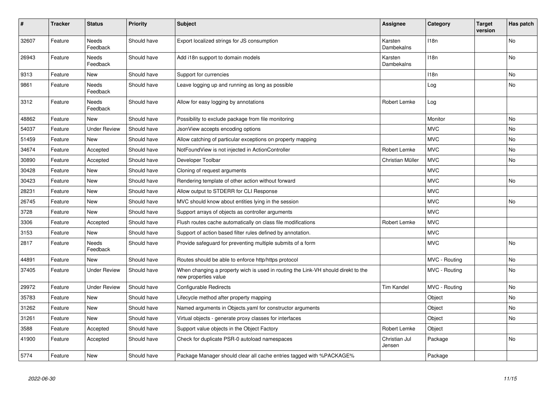| #     | <b>Tracker</b> | <b>Status</b>            | <b>Priority</b> | <b>Subject</b>                                                                                            | <b>Assignee</b>         | Category         | <b>Target</b><br>version | Has patch |
|-------|----------------|--------------------------|-----------------|-----------------------------------------------------------------------------------------------------------|-------------------------|------------------|--------------------------|-----------|
| 32607 | Feature        | <b>Needs</b><br>Feedback | Should have     | Export localized strings for JS consumption                                                               | Karsten<br>Dambekalns   | 118 <sub>n</sub> |                          | <b>No</b> |
| 26943 | Feature        | Needs<br>Feedback        | Should have     | Add i18n support to domain models                                                                         | Karsten<br>Dambekalns   | 118n             |                          | No        |
| 9313  | Feature        | <b>New</b>               | Should have     | Support for currencies                                                                                    |                         | 118n             |                          | No        |
| 9861  | Feature        | <b>Needs</b><br>Feedback | Should have     | Leave logging up and running as long as possible                                                          |                         | Log              |                          | <b>No</b> |
| 3312  | Feature        | Needs<br>Feedback        | Should have     | Allow for easy logging by annotations                                                                     | Robert Lemke            | Log              |                          |           |
| 48862 | Feature        | New                      | Should have     | Possibility to exclude package from file monitoring                                                       |                         | Monitor          |                          | No        |
| 54037 | Feature        | <b>Under Review</b>      | Should have     | JsonView accepts encoding options                                                                         |                         | <b>MVC</b>       |                          | No        |
| 51459 | Feature        | <b>New</b>               | Should have     | Allow catching of particular exceptions on property mapping                                               |                         | <b>MVC</b>       |                          | No        |
| 34674 | Feature        | Accepted                 | Should have     | NotFoundView is not injected in ActionController                                                          | Robert Lemke            | <b>MVC</b>       |                          | No        |
| 30890 | Feature        | Accepted                 | Should have     | Developer Toolbar                                                                                         | Christian Müller        | <b>MVC</b>       |                          | No        |
| 30428 | Feature        | <b>New</b>               | Should have     | Cloning of request arguments                                                                              |                         | <b>MVC</b>       |                          |           |
| 30423 | Feature        | <b>New</b>               | Should have     | Rendering template of other action without forward                                                        |                         | <b>MVC</b>       |                          | No        |
| 28231 | Feature        | <b>New</b>               | Should have     | Allow output to STDERR for CLI Response                                                                   |                         | <b>MVC</b>       |                          |           |
| 26745 | Feature        | <b>New</b>               | Should have     | MVC should know about entities lying in the session                                                       |                         | <b>MVC</b>       |                          | No        |
| 3728  | Feature        | <b>New</b>               | Should have     | Support arrays of objects as controller arguments                                                         |                         | <b>MVC</b>       |                          |           |
| 3306  | Feature        | Accepted                 | Should have     | Flush routes cache automatically on class file modifications                                              | Robert Lemke            | <b>MVC</b>       |                          |           |
| 3153  | Feature        | <b>New</b>               | Should have     | Support of action based filter rules defined by annotation.                                               |                         | <b>MVC</b>       |                          |           |
| 2817  | Feature        | <b>Needs</b><br>Feedback | Should have     | Provide safeguard for preventing multiple submits of a form                                               |                         | <b>MVC</b>       |                          | No        |
| 44891 | Feature        | <b>New</b>               | Should have     | Routes should be able to enforce http/https protocol                                                      |                         | MVC - Routing    |                          | No        |
| 37405 | Feature        | <b>Under Review</b>      | Should have     | When changing a property wich is used in routing the Link-VH should direkt to the<br>new properties value |                         | MVC - Routing    |                          | No        |
| 29972 | Feature        | <b>Under Review</b>      | Should have     | Configurable Redirects                                                                                    | Tim Kandel              | MVC - Routing    |                          | No        |
| 35783 | Feature        | <b>New</b>               | Should have     | Lifecycle method after property mapping                                                                   |                         | Object           |                          | No        |
| 31262 | Feature        | New                      | Should have     | Named arguments in Objects yaml for constructor arguments                                                 |                         | Object           |                          | No        |
| 31261 | Feature        | <b>New</b>               | Should have     | Virtual objects - generate proxy classes for interfaces                                                   |                         | Object           |                          | No        |
| 3588  | Feature        | Accepted                 | Should have     | Support value objects in the Object Factory                                                               | Robert Lemke            | Object           |                          |           |
| 41900 | Feature        | Accepted                 | Should have     | Check for duplicate PSR-0 autoload namespaces                                                             | Christian Jul<br>Jensen | Package          |                          | No        |
| 5774  | Feature        | <b>New</b>               | Should have     | Package Manager should clear all cache entries tagged with %PACKAGE%                                      |                         | Package          |                          |           |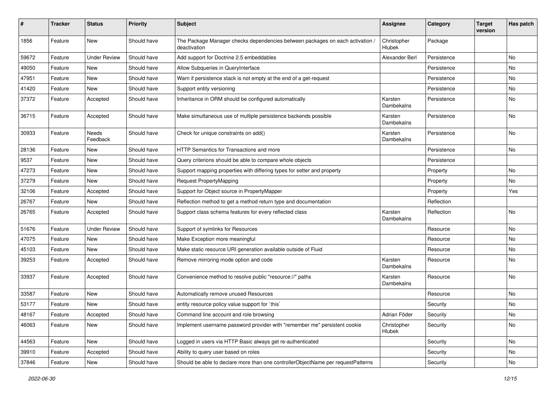| #     | <b>Tracker</b> | <b>Status</b>       | <b>Priority</b> | <b>Subject</b>                                                                                | Assignee              | Category    | <b>Target</b><br>version | Has patch |
|-------|----------------|---------------------|-----------------|-----------------------------------------------------------------------------------------------|-----------------------|-------------|--------------------------|-----------|
| 1856  | Feature        | <b>New</b>          | Should have     | The Package Manager checks dependencies between packages on each activation /<br>deactivation | Christopher<br>Hlubek | Package     |                          |           |
| 59672 | Feature        | <b>Under Review</b> | Should have     | Add support for Doctrine 2.5 embeddables                                                      | Alexander Berl        | Persistence |                          | No        |
| 49050 | Feature        | New                 | Should have     | Allow Subqueries in QueryInterface                                                            |                       | Persistence |                          | No        |
| 47951 | Feature        | New                 | Should have     | Warn if persistence stack is not empty at the end of a get-request                            |                       | Persistence |                          | No        |
| 41420 | Feature        | New                 | Should have     | Support entity versioning                                                                     |                       | Persistence |                          | No        |
| 37372 | Feature        | Accepted            | Should have     | Inheritance in ORM should be configured automatically                                         | Karsten<br>Dambekalns | Persistence |                          | No        |
| 36715 | Feature        | Accepted            | Should have     | Make simultaneous use of multiple persistence backends possible                               | Karsten<br>Dambekalns | Persistence |                          | No        |
| 30933 | Feature        | Needs<br>Feedback   | Should have     | Check for unique constraints on add()                                                         | Karsten<br>Dambekalns | Persistence |                          | No        |
| 28136 | Feature        | New                 | Should have     | HTTP Semantics for Transactions and more                                                      |                       | Persistence |                          | No        |
| 9537  | Feature        | New                 | Should have     | Query criterions should be able to compare whole objects                                      |                       | Persistence |                          |           |
| 47273 | Feature        | New                 | Should have     | Support mapping properties with differing types for setter and property                       |                       | Property    |                          | No        |
| 37279 | Feature        | New                 | Should have     | <b>Request PropertyMapping</b>                                                                |                       | Property    |                          | No        |
| 32106 | Feature        | Accepted            | Should have     | Support for Object source in PropertyMapper                                                   |                       | Property    |                          | Yes       |
| 26767 | Feature        | New                 | Should have     | Reflection method to get a method return type and documentation                               |                       | Reflection  |                          |           |
| 26765 | Feature        | Accepted            | Should have     | Support class schema features for every reflected class                                       | Karsten<br>Dambekalns | Reflection  |                          | No        |
| 51676 | Feature        | <b>Under Review</b> | Should have     | Support of symlinks for Resources                                                             |                       | Resource    |                          | No        |
| 47075 | Feature        | New                 | Should have     | Make Exception more meaningful                                                                |                       | Resource    |                          | No        |
| 45103 | Feature        | New                 | Should have     | Make static resource URI generation available outside of Fluid                                |                       | Resource    |                          | No        |
| 39253 | Feature        | Accepted            | Should have     | Remove mirroring mode option and code                                                         | Karsten<br>Dambekalns | Resource    |                          | No.       |
| 33937 | Feature        | Accepted            | Should have     | Convenience method to resolve public "resource://" paths                                      | Karsten<br>Dambekalns | Resource    |                          | No        |
| 33587 | Feature        | New                 | Should have     | Automatically remove unused Resources                                                         |                       | Resource    |                          | No        |
| 53177 | Feature        | New                 | Should have     | entity resource policy value support for `this`                                               |                       | Security    |                          | No        |
| 48167 | Feature        | Accepted            | Should have     | Command line account and role browsing                                                        | Adrian Föder          | Security    |                          | No        |
| 46063 | Feature        | New                 | Should have     | Implement username password provider with "remember me" persistent cookie                     | Christopher<br>Hlubek | Security    |                          | No        |
| 44563 | Feature        | New                 | Should have     | Logged in users via HTTP Basic always get re-authenticated                                    |                       | Security    |                          | No        |
| 39910 | Feature        | Accepted            | Should have     | Ability to query user based on roles                                                          |                       | Security    |                          | No        |
| 37846 | Feature        | New                 | Should have     | Should be able to declare more than one controllerObjectName per requestPatterns              |                       | Security    |                          | No        |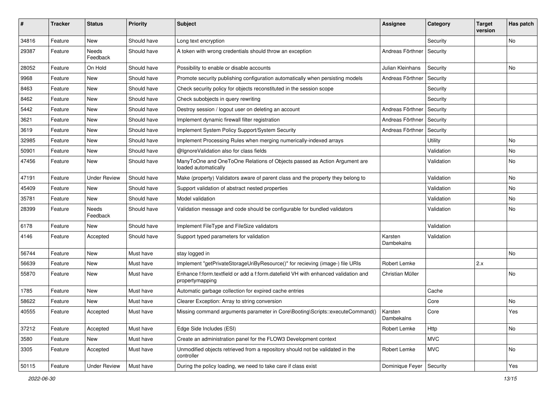| #     | <b>Tracker</b> | <b>Status</b>       | <b>Priority</b> | <b>Subject</b>                                                                                        | Assignee              | Category   | <b>Target</b><br>version | Has patch |
|-------|----------------|---------------------|-----------------|-------------------------------------------------------------------------------------------------------|-----------------------|------------|--------------------------|-----------|
| 34816 | Feature        | <b>New</b>          | Should have     | Long text encryption                                                                                  |                       | Security   |                          | No        |
| 29387 | Feature        | Needs<br>Feedback   | Should have     | A token with wrong credentials should throw an exception                                              | Andreas Förthner      | Security   |                          |           |
| 28052 | Feature        | On Hold             | Should have     | Possibility to enable or disable accounts                                                             | Julian Kleinhans      | Security   |                          | No        |
| 9968  | Feature        | New                 | Should have     | Promote security publishing configuration automatically when persisting models                        | Andreas Förthner      | Security   |                          |           |
| 8463  | Feature        | New                 | Should have     | Check security policy for objects reconstituted in the session scope                                  |                       | Security   |                          |           |
| 8462  | Feature        | New                 | Should have     | Check subobjects in query rewriting                                                                   |                       | Security   |                          |           |
| 5442  | Feature        | New                 | Should have     | Destroy session / logout user on deleting an account                                                  | Andreas Förthner      | Security   |                          |           |
| 3621  | Feature        | <b>New</b>          | Should have     | Implement dynamic firewall filter registration                                                        | Andreas Förthner      | Security   |                          |           |
| 3619  | Feature        | New                 | Should have     | Implement System Policy Support/System Security                                                       | Andreas Förthner      | Security   |                          |           |
| 32985 | Feature        | New                 | Should have     | Implement Processing Rules when merging numerically-indexed arrays                                    |                       | Utility    |                          | No        |
| 50901 | Feature        | New                 | Should have     | @IgnoreValidation also for class fields                                                               |                       | Validation |                          | No        |
| 47456 | Feature        | New                 | Should have     | ManyToOne and OneToOne Relations of Objects passed as Action Argument are<br>loaded automatically     |                       | Validation |                          | No        |
| 47191 | Feature        | <b>Under Review</b> | Should have     | Make (property) Validators aware of parent class and the property they belong to                      |                       | Validation |                          | No        |
| 45409 | Feature        | New                 | Should have     | Support validation of abstract nested properties                                                      |                       | Validation |                          | No        |
| 35781 | Feature        | New                 | Should have     | Model validation                                                                                      |                       | Validation |                          | No        |
| 28399 | Feature        | Needs<br>Feedback   | Should have     | Validation message and code should be configurable for bundled validators                             |                       | Validation |                          | No        |
| 6178  | Feature        | New                 | Should have     | Implement FileType and FileSize validators                                                            |                       | Validation |                          |           |
| 4146  | Feature        | Accepted            | Should have     | Support typed parameters for validation                                                               | Karsten<br>Dambekalns | Validation |                          |           |
| 56744 | Feature        | New                 | Must have       | stay logged in                                                                                        |                       |            |                          | No        |
| 56639 | Feature        | New                 | Must have       | Implement "getPrivateStorageUriByResource()" for recieving (image-) file URIs                         | Robert Lemke          |            | 2.x                      |           |
| 55870 | Feature        | New                 | Must have       | Enhance f:form.textfield or add a f:form.datefield VH with enhanced validation and<br>propertymapping | Christian Müller      |            |                          | No        |
| 1785  | Feature        | New                 | Must have       | Automatic garbage collection for expired cache entries                                                |                       | Cache      |                          |           |
| 58622 | Feature        | New                 | Must have       | Clearer Exception: Array to string conversion                                                         |                       | Core       |                          | No        |
| 40555 | Feature        | Accepted            | Must have       | Missing command arguments parameter in Core\Booting\Scripts::executeCommand()   Karsten               | Dambekalns            | Core       |                          | Yes       |
| 37212 | Feature        | Accepted            | Must have       | Edge Side Includes (ESI)                                                                              | Robert Lemke          | Http       |                          | No        |
| 3580  | Feature        | New                 | Must have       | Create an administration panel for the FLOW3 Development context                                      |                       | <b>MVC</b> |                          |           |
| 3305  | Feature        | Accepted            | Must have       | Unmodified objects retrieved from a repository should not be validated in the<br>controller           | Robert Lemke          | <b>MVC</b> |                          | No        |
| 50115 | Feature        | <b>Under Review</b> | Must have       | During the policy loading, we need to take care if class exist                                        | Dominique Feyer       | Security   |                          | Yes       |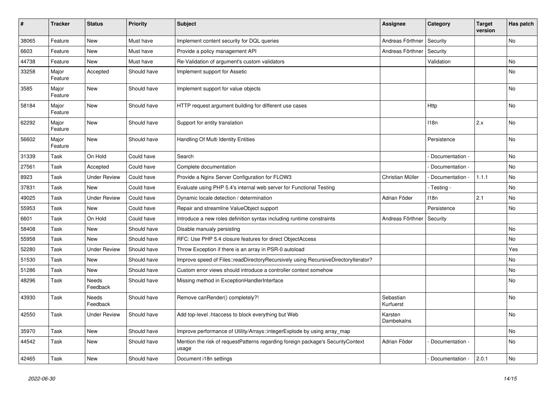| #     | <b>Tracker</b>   | <b>Status</b>            | <b>Priority</b> | <b>Subject</b>                                                                           | <b>Assignee</b>        | Category          | <b>Target</b><br>version | Has patch |
|-------|------------------|--------------------------|-----------------|------------------------------------------------------------------------------------------|------------------------|-------------------|--------------------------|-----------|
| 38065 | Feature          | <b>New</b>               | Must have       | Implement content security for DQL queries                                               | Andreas Förthner       | Security          |                          | <b>No</b> |
| 6603  | Feature          | <b>New</b>               | Must have       | Provide a policy management API                                                          | Andreas Förthner       | Security          |                          |           |
| 44738 | Feature          | <b>New</b>               | Must have       | Re-Validation of argument's custom validators                                            |                        | Validation        |                          | No        |
| 33258 | Major<br>Feature | Accepted                 | Should have     | Implement support for Assetic                                                            |                        |                   |                          | No        |
| 3585  | Major<br>Feature | <b>New</b>               | Should have     | Implement support for value objects                                                      |                        |                   |                          | <b>No</b> |
| 58184 | Major<br>Feature | <b>New</b>               | Should have     | HTTP request argument building for different use cases                                   |                        | Http              |                          | No        |
| 62292 | Major<br>Feature | <b>New</b>               | Should have     | Support for entity translation                                                           |                        | 118n              | 2.x                      | No        |
| 56602 | Major<br>Feature | <b>New</b>               | Should have     | Handling Of Multi Identity Entities                                                      |                        | Persistence       |                          | <b>No</b> |
| 31339 | Task             | On Hold                  | Could have      | Search                                                                                   |                        | Documentation -   |                          | No        |
| 27561 | Task             | Accepted                 | Could have      | Complete documentation                                                                   |                        | Documentation -   |                          | No        |
| 8923  | Task             | <b>Under Review</b>      | Could have      | Provide a Nginx Server Configuration for FLOW3                                           | Christian Müller       | Documentation -   | 1.1.1                    | No        |
| 37831 | Task             | <b>New</b>               | Could have      | Evaluate using PHP 5.4's internal web server for Functional Testing                      |                        | - Testing -       |                          | No        |
| 49025 | Task             | <b>Under Review</b>      | Could have      | Dynamic locale detection / determination                                                 | Adrian Föder           | 118n              | 2.1                      | No.       |
| 55953 | Task             | <b>New</b>               | Could have      | Repair and streamline ValueObject support                                                |                        | Persistence       |                          | No.       |
| 6601  | Task             | On Hold                  | Could have      | Introduce a new roles definition syntax including runtime constraints                    | Andreas Förthner       | Security          |                          |           |
| 58408 | Task             | <b>New</b>               | Should have     | Disable manualy persisting                                                               |                        |                   |                          | No        |
| 55958 | Task             | <b>New</b>               | Should have     | RFC: Use PHP 5.4 closure features for direct ObjectAccess                                |                        |                   |                          | No        |
| 52280 | Task             | <b>Under Review</b>      | Should have     | Throw Exception if there is an array in PSR-0 autoload                                   |                        |                   |                          | Yes       |
| 51530 | Task             | <b>New</b>               | Should have     | Improve speed of Files::readDirectoryRecursively using RecursiveDirectoryIterator?       |                        |                   |                          | No        |
| 51286 | Task             | <b>New</b>               | Should have     | Custom error views should introduce a controller context somehow                         |                        |                   |                          | No        |
| 48296 | Task             | Needs<br>Feedback        | Should have     | Missing method in ExceptionHandlerInterface                                              |                        |                   |                          | No        |
| 43930 | Task             | <b>Needs</b><br>Feedback | Should have     | Remove canRender() completely?!                                                          | Sebastian<br>Kurfuerst |                   |                          | No        |
| 42550 | Task             | <b>Under Review</b>      | Should have     | Add top-level .htaccess to block everything but Web                                      | Karsten<br>Dambekalns  |                   |                          | No        |
| 35970 | Task             | <b>New</b>               | Should have     | Improve performance of Utility/Arrays::integerExplode by using array_map                 |                        |                   |                          | No        |
| 44542 | Task             | <b>New</b>               | Should have     | Mention the risk of requestPatterns regarding foreign package's SecurityContext<br>usage | Adrian Föder           | Documentation -   |                          | No        |
| 42465 | Task             | <b>New</b>               | Should have     | Document i18n settings                                                                   |                        | - Documentation - | 2.0.1                    | No        |